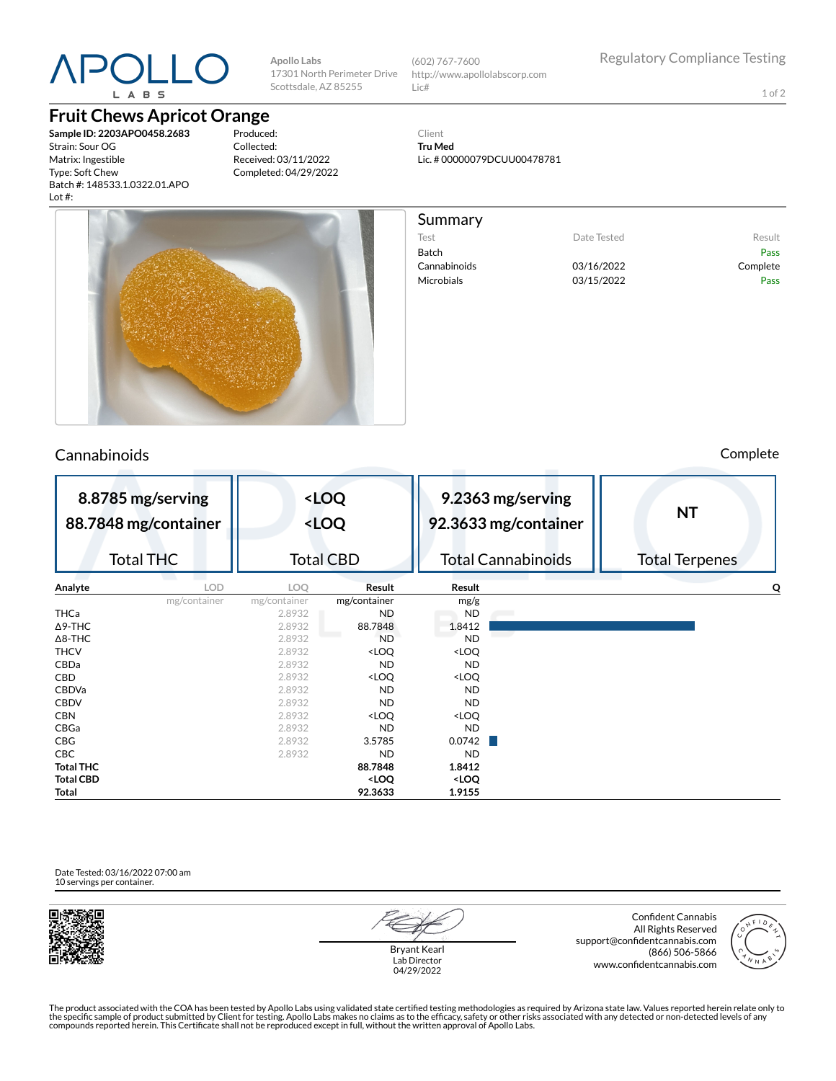# L A B S

## **Fruit Chews Apricot Orange**

**Sample ID: 2203APO0458.2683** Strain: Sour OG Matrix: Ingestible Type: Soft Chew Batch #: 148533.1.0322.01.APO Lot #:

Produced: Collected: Received: 03/11/2022 Completed: 04/29/2022

**Apollo Labs**

17301 North Perimeter Drive Scottsdale, AZ 85255

(602) 767-7600

Summary

Lic#

Client **Tru Med**

http://www.apollolabscorp.com

Lic. # 00000079DCUU00478781

Test **Date Tested** Result Batch Pass Cannabinoids 03/16/2022 Complete Microbials **03/15/2022** Pass



**Total 92.3633 1.9155**

Cannabinoids Complete

| 8.8785 mg/serving<br>88.7848 mg/container |                  | <loq<br><loq< th=""><th colspan="2">9.2363 mg/serving<br/>92.3633 mg/container</th><th colspan="2"><b>NT</b></th></loq<></loq<br> |                                                                   | 9.2363 mg/serving<br>92.3633 mg/container |  | <b>NT</b>             |  |
|-------------------------------------------|------------------|-----------------------------------------------------------------------------------------------------------------------------------|-------------------------------------------------------------------|-------------------------------------------|--|-----------------------|--|
|                                           | <b>Total THC</b> | <b>Total CBD</b>                                                                                                                  |                                                                   | <b>Total Cannabinoids</b>                 |  | <b>Total Terpenes</b> |  |
| Analyte                                   | <b>LOD</b>       | LOO                                                                                                                               | Result                                                            | Result                                    |  | Q                     |  |
|                                           | mg/container     | mg/container                                                                                                                      | mg/container                                                      | mg/g                                      |  |                       |  |
| THCa                                      |                  | 2.8932                                                                                                                            | ND                                                                | ND                                        |  |                       |  |
| ∆9-THC                                    |                  | 2.8932                                                                                                                            | 88.7848                                                           | 1.8412                                    |  |                       |  |
| ∆8-THC                                    |                  | 2.8932                                                                                                                            | <b>ND</b>                                                         | <b>ND</b>                                 |  |                       |  |
| THCV                                      |                  | 2.8932                                                                                                                            | <loq< th=""><th><loq< th=""><th></th><th></th></loq<></th></loq<> | <loq< th=""><th></th><th></th></loq<>     |  |                       |  |
| CBDa                                      |                  | 2.8932                                                                                                                            | <b>ND</b>                                                         | <b>ND</b>                                 |  |                       |  |
| CBD                                       |                  | 2.8932                                                                                                                            | <loq< th=""><th><loq< th=""><th></th><th></th></loq<></th></loq<> | <loq< th=""><th></th><th></th></loq<>     |  |                       |  |
| CBDVa                                     |                  | 2.8932                                                                                                                            | <b>ND</b>                                                         | <b>ND</b>                                 |  |                       |  |
| CBDV                                      |                  | 2.8932                                                                                                                            | <b>ND</b>                                                         | <b>ND</b>                                 |  |                       |  |
| CBN                                       |                  | 2.8932                                                                                                                            | <loq< th=""><th><loq< th=""><th></th><th></th></loq<></th></loq<> | <loq< th=""><th></th><th></th></loq<>     |  |                       |  |
| CBGa                                      |                  | 2.8932                                                                                                                            | ND                                                                | ND.                                       |  |                       |  |
| CBG                                       |                  | 2.8932                                                                                                                            | 3.5785                                                            | 0.0742                                    |  |                       |  |
| СВС                                       |                  | 2.8932                                                                                                                            | <b>ND</b>                                                         | <b>ND</b>                                 |  |                       |  |
| Total THC                                 |                  |                                                                                                                                   | 88.7848                                                           | 1.8412                                    |  |                       |  |
| Total CBD                                 |                  |                                                                                                                                   | <loq< th=""><th><loq< th=""><th></th><th></th></loq<></th></loq<> | <loq< th=""><th></th><th></th></loq<>     |  |                       |  |

Date Tested: 03/16/2022 07:00 am 10 servings per container.





Bryant Kearl Lab Director 04/29/2022

Confident Cannabis All Rights Reserved support@confidentcannabis.com (866) 506-5866 www.confidentcannabis.com



The product associated with the COA has been tested by Apollo Labs using validated state certified testing methodologies as required by Arizona state law. Values reported herein relate only to<br>the specific sample of produc

1 of 2